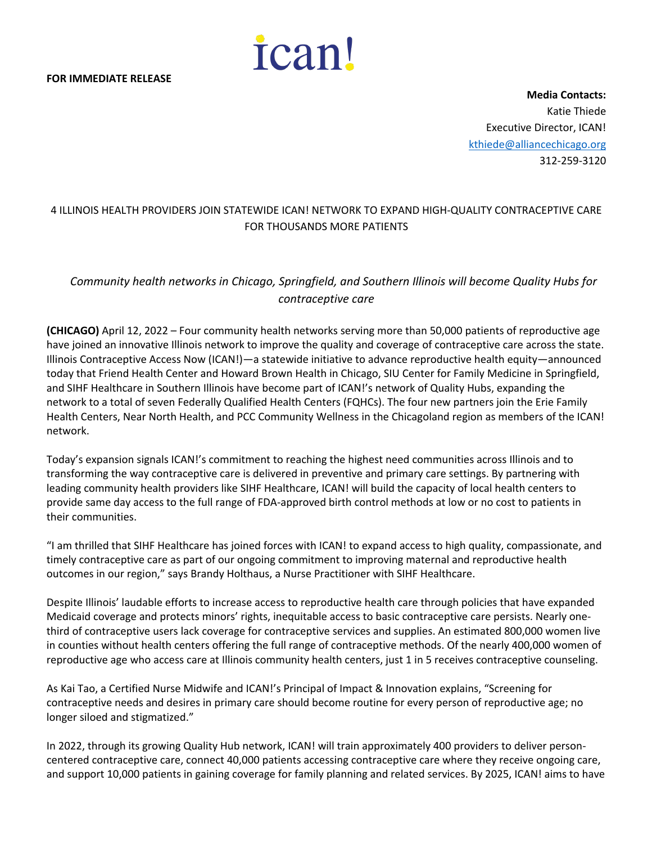

**Media Contacts:** Katie Thiede Executive Director, ICAN! kthiede@alliancechicago.org 312-259-3120

## 4 ILLINOIS HEALTH PROVIDERS JOIN STATEWIDE ICAN! NETWORK TO EXPAND HIGH-QUALITY CONTRACEPTIVE CARE FOR THOUSANDS MORE PATIENTS

## *Community health networks in Chicago, Springfield, and Southern Illinois will become Quality Hubs for contraceptive care*

**(CHICAGO)** April 12, 2022 – Four community health networks serving more than 50,000 patients of reproductive age have joined an innovative Illinois network to improve the quality and coverage of contraceptive care across the state. Illinois Contraceptive Access Now (ICAN!)—a statewide initiative to advance reproductive health equity—announced today that Friend Health Center and Howard Brown Health in Chicago, SIU Center for Family Medicine in Springfield, and SIHF Healthcare in Southern Illinois have become part of ICAN!'s network of Quality Hubs, expanding the network to a total of seven Federally Qualified Health Centers (FQHCs). The four new partners join the Erie Family Health Centers, Near North Health, and PCC Community Wellness in the Chicagoland region as members of the ICAN! network.

Today's expansion signals ICAN!'s commitment to reaching the highest need communities across Illinois and to transforming the way contraceptive care is delivered in preventive and primary care settings. By partnering with leading community health providers like SIHF Healthcare, ICAN! will build the capacity of local health centers to provide same day access to the full range of FDA-approved birth control methods at low or no cost to patients in their communities.

"I am thrilled that SIHF Healthcare has joined forces with ICAN! to expand access to high quality, compassionate, and timely contraceptive care as part of our ongoing commitment to improving maternal and reproductive health outcomes in our region," says Brandy Holthaus, a Nurse Practitioner with SIHF Healthcare.

Despite Illinois' laudable efforts to increase access to reproductive health care through policies that have expanded Medicaid coverage and protects minors' rights, inequitable access to basic contraceptive care persists. Nearly onethird of contraceptive users lack coverage for contraceptive services and supplies. An estimated 800,000 women live in counties without health centers offering the full range of contraceptive methods. Of the nearly 400,000 women of reproductive age who access care at Illinois community health centers, just 1 in 5 receives contraceptive counseling.

As Kai Tao, a Certified Nurse Midwife and ICAN!'s Principal of Impact & Innovation explains, "Screening for contraceptive needs and desires in primary care should become routine for every person of reproductive age; no longer siloed and stigmatized."

In 2022, through its growing Quality Hub network, ICAN! will train approximately 400 providers to deliver personcentered contraceptive care, connect 40,000 patients accessing contraceptive care where they receive ongoing care, and support 10,000 patients in gaining coverage for family planning and related services. By 2025, ICAN! aims to have